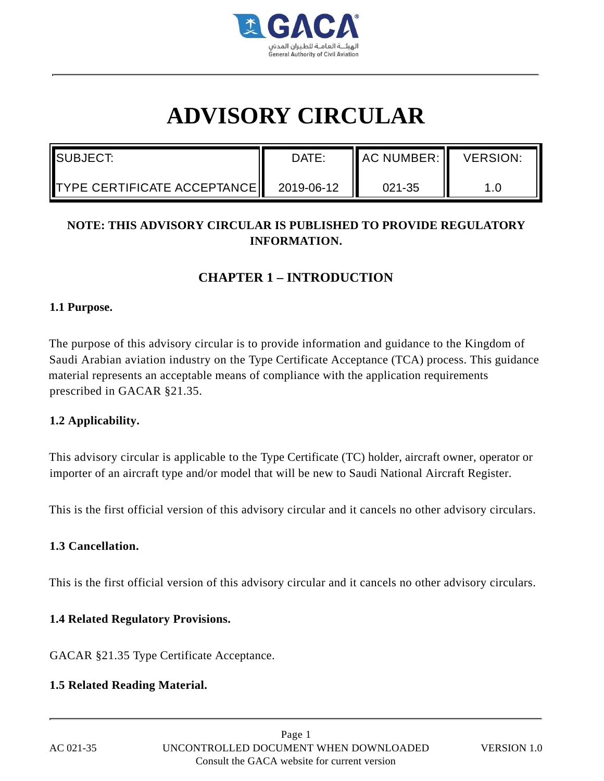

# **ADVISORY CIRCULAR**

| ISUBJECT:                   | DATE:      | <b>I</b> AC NUMBER: I | <b>VERSION:</b> |
|-----------------------------|------------|-----------------------|-----------------|
| TYPE CERTIFICATE ACCEPTANCE | 2019-06-12 | 021-35                |                 |

# **NOTE: THIS ADVISORY CIRCULAR IS PUBLISHED TO PROVIDE REGULATORY INFORMATION.**

# **CHAPTER 1 – INTRODUCTION**

#### **1.1 Purpose.**

The purpose of this advisory circular is to provide information and guidance to the Kingdom of Saudi Arabian aviation industry on the Type Certificate Acceptance (TCA) process. This guidance material represents an acceptable means of compliance with the application requirements prescribed in GACAR §21.35.

# **1.2 Applicability.**

This advisory circular is applicable to the Type Certificate (TC) holder, aircraft owner, operator or importer of an aircraft type and/or model that will be new to Saudi National Aircraft Register.

This is the first official version of this advisory circular and it cancels no other advisory circulars.

# **1.3 Cancellation.**

This is the first official version of this advisory circular and it cancels no other advisory circulars.

# **1.4 Related Regulatory Provisions.**

GACAR §21.35 Type Certificate Acceptance.

# **1.5 Related Reading Material.**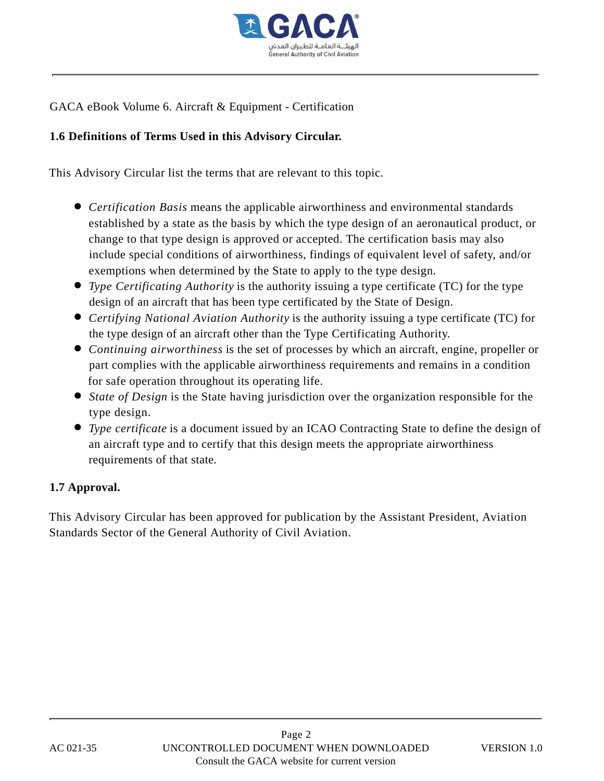

GACA eBook Volume 6. Aircraft & Equipment - Certification

# **1.6 Definitions of Terms Used in this Advisory Circular.**

This Advisory Circular list the terms that are relevant to this topic.

- *Certification Basis* means the applicable airworthiness and environmental standards established by a state as the basis by which the type design of an aeronautical product, or change to that type design is approved or accepted. The certification basis may also include special conditions of airworthiness, findings of equivalent level of safety, and/or exemptions when determined by the State to apply to the type design.
- *Type Certificating Authority* is the authority issuing a type certificate (TC) for the type design of an aircraft that has been type certificated by the State of Design.
- *Certifying National Aviation Authority* is the authority issuing a type certificate (TC) for the type design of an aircraft other than the Type Certificating Authority.
- *Continuing airworthiness* is the set of processes by which an aircraft, engine, propeller or part complies with the applicable airworthiness requirements and remains in a condition for safe operation throughout its operating life.
- *State of Design* is the State having jurisdiction over the organization responsible for the type design.
- *Type certificate* is a document issued by an ICAO Contracting State to define the design of an aircraft type and to certify that this design meets the appropriate airworthiness requirements of that state.

# **1.7 Approval.**

This Advisory Circular has been approved for publication by the Assistant President, Aviation Standards Sector of the General Authority of Civil Aviation.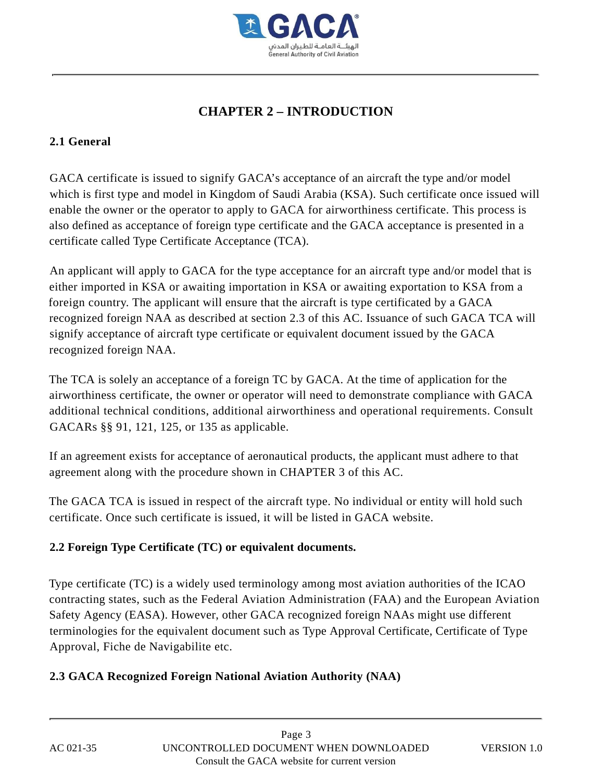

# **CHAPTER 2 – INTRODUCTION**

# **2.1 General**

GACA certificate is issued to signify GACA's acceptance of an aircraft the type and/or model which is first type and model in Kingdom of Saudi Arabia (KSA). Such certificate once issued will enable the owner or the operator to apply to GACA for airworthiness certificate. This process is also defined as acceptance of foreign type certificate and the GACA acceptance is presented in a certificate called Type Certificate Acceptance (TCA).

An applicant will apply to GACA for the type acceptance for an aircraft type and/or model that is either imported in KSA or awaiting importation in KSA or awaiting exportation to KSA from a foreign country. The applicant will ensure that the aircraft is type certificated by a GACA recognized foreign NAA as described at section 2.3 of this AC. Issuance of such GACA TCA will signify acceptance of aircraft type certificate or equivalent document issued by the GACA recognized foreign NAA.

The TCA is solely an acceptance of a foreign TC by GACA. At the time of application for the airworthiness certificate, the owner or operator will need to demonstrate compliance with GACA additional technical conditions, additional airworthiness and operational requirements. Consult GACARs §§ 91, 121, 125, or 135 as applicable.

If an agreement exists for acceptance of aeronautical products, the applicant must adhere to that agreement along with the procedure shown in CHAPTER 3 of this AC.

The GACA TCA is issued in respect of the aircraft type. No individual or entity will hold such certificate. Once such certificate is issued, it will be listed in GACA website.

# **2.2 Foreign Type Certificate (TC) or equivalent documents.**

Type certificate (TC) is a widely used terminology among most aviation authorities of the ICAO contracting states, such as the Federal Aviation Administration (FAA) and the European Aviation Safety Agency (EASA). However, other GACA recognized foreign NAAs might use different terminologies for the equivalent document such as Type Approval Certificate, Certificate of Type Approval, Fiche de Navigabilite etc.

# **2.3 GACA Recognized Foreign National Aviation Authority (NAA)**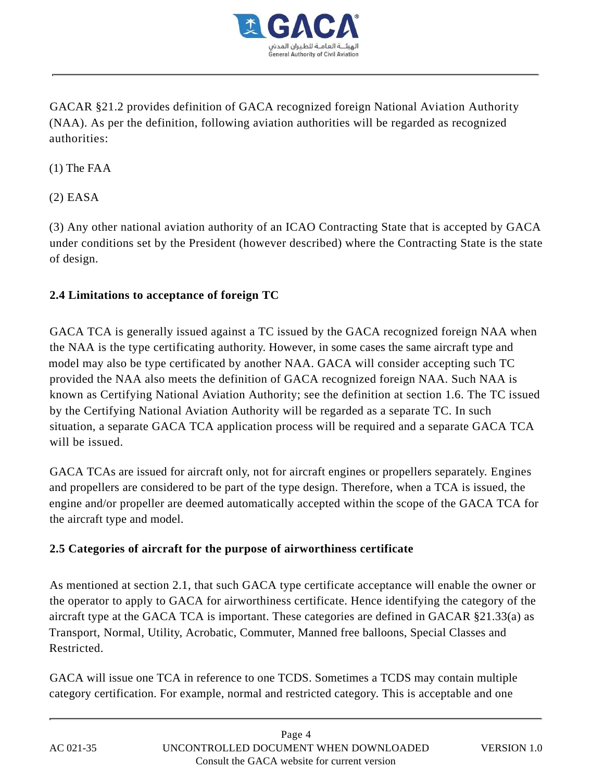

GACAR §21.2 provides definition of GACA recognized foreign National Aviation Authority (NAA). As per the definition, following aviation authorities will be regarded as recognized authorities:

(1) The FAA

(2) EASA

(3) Any other national aviation authority of an ICAO Contracting State that is accepted by GACA under conditions set by the President (however described) where the Contracting State is the state of design.

# **2.4 Limitations to acceptance of foreign TC**

GACA TCA is generally issued against a TC issued by the GACA recognized foreign NAA when the NAA is the type certificating authority. However, in some cases the same aircraft type and model may also be type certificated by another NAA. GACA will consider accepting such TC provided the NAA also meets the definition of GACA recognized foreign NAA. Such NAA is known as Certifying National Aviation Authority; see the definition at section 1.6. The TC issued by the Certifying National Aviation Authority will be regarded as a separate TC. In such situation, a separate GACA TCA application process will be required and a separate GACA TCA will be issued.

GACA TCAs are issued for aircraft only, not for aircraft engines or propellers separately. Engines and propellers are considered to be part of the type design. Therefore, when a TCA is issued, the engine and/or propeller are deemed automatically accepted within the scope of the GACA TCA for the aircraft type and model.

# **2.5 Categories of aircraft for the purpose of airworthiness certificate**

As mentioned at section 2.1, that such GACA type certificate acceptance will enable the owner or the operator to apply to GACA for airworthiness certificate. Hence identifying the category of the aircraft type at the GACA TCA is important. These categories are defined in GACAR §21.33(a) as Transport, Normal, Utility, Acrobatic, Commuter, Manned free balloons, Special Classes and Restricted.

GACA will issue one TCA in reference to one TCDS. Sometimes a TCDS may contain multiple category certification. For example, normal and restricted category. This is acceptable and one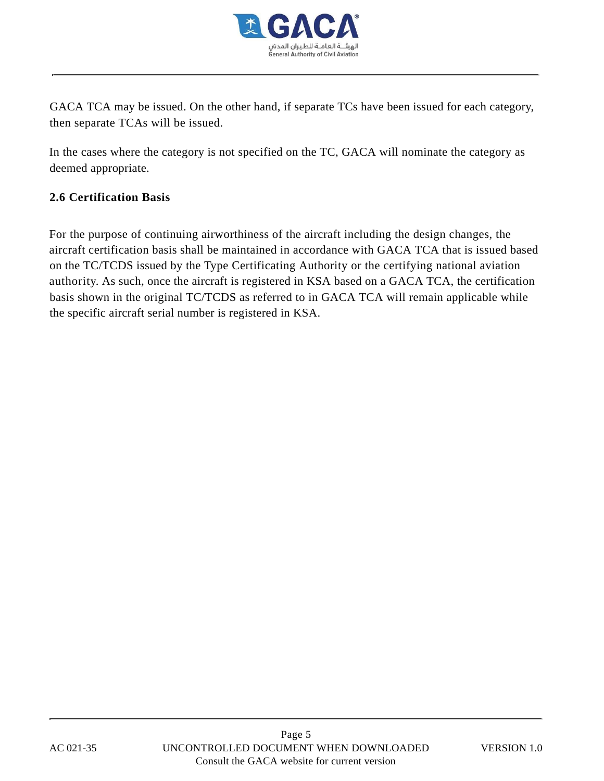

GACA TCA may be issued. On the other hand, if separate TCs have been issued for each category, then separate TCAs will be issued.

In the cases where the category is not specified on the TC, GACA will nominate the category as deemed appropriate.

# **2.6 Certification Basis**

For the purpose of continuing airworthiness of the aircraft including the design changes, the aircraft certification basis shall be maintained in accordance with GACA TCA that is issued based on the TC/TCDS issued by the Type Certificating Authority or the certifying national aviation authority. As such, once the aircraft is registered in KSA based on a GACA TCA, the certification basis shown in the original TC/TCDS as referred to in GACA TCA will remain applicable while the specific aircraft serial number is registered in KSA.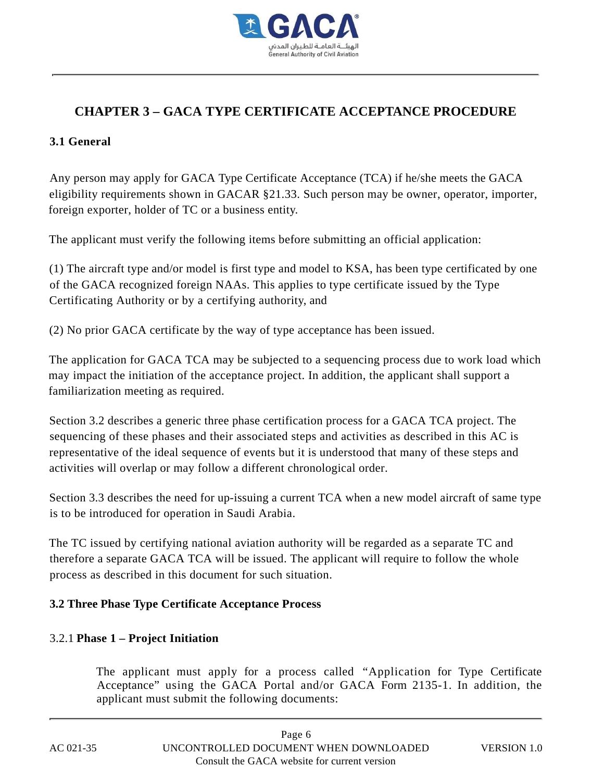

# **CHAPTER 3 – GACA TYPE CERTIFICATE ACCEPTANCE PROCEDURE**

# **3.1 General**

Any person may apply for GACA Type Certificate Acceptance (TCA) if he/she meets the GACA eligibility requirements shown in GACAR §21.33. Such person may be owner, operator, importer, foreign exporter, holder of TC or a business entity.

The applicant must verify the following items before submitting an official application:

(1) The aircraft type and/or model is first type and model to KSA, has been type certificated by one of the GACA recognized foreign NAAs. This applies to type certificate issued by the Type Certificating Authority or by a certifying authority, and

(2) No prior GACA certificate by the way of type acceptance has been issued.

The application for GACA TCA may be subjected to a sequencing process due to work load which may impact the initiation of the acceptance project. In addition, the applicant shall support a familiarization meeting as required.

Section 3.2 describes a generic three phase certification process for a GACA TCA project. The sequencing of these phases and their associated steps and activities as described in this AC is representative of the ideal sequence of events but it is understood that many of these steps and activities will overlap or may follow a different chronological order.

Section 3.3 describes the need for up-issuing a current TCA when a new model aircraft of same type is to be introduced for operation in Saudi Arabia.

The TC issued by certifying national aviation authority will be regarded as a separate TC and therefore a separate GACA TCA will be issued. The applicant will require to follow the whole process as described in this document for such situation.

# **3.2 Three Phase Type Certificate Acceptance Process**

# 3.2.1 **Phase 1 – Project Initiation**

The applicant must apply for a process called "Application for Type Certificate Acceptance" using the GACA Portal and/or GACA Form 2135-1. In addition, the applicant must submit the following documents: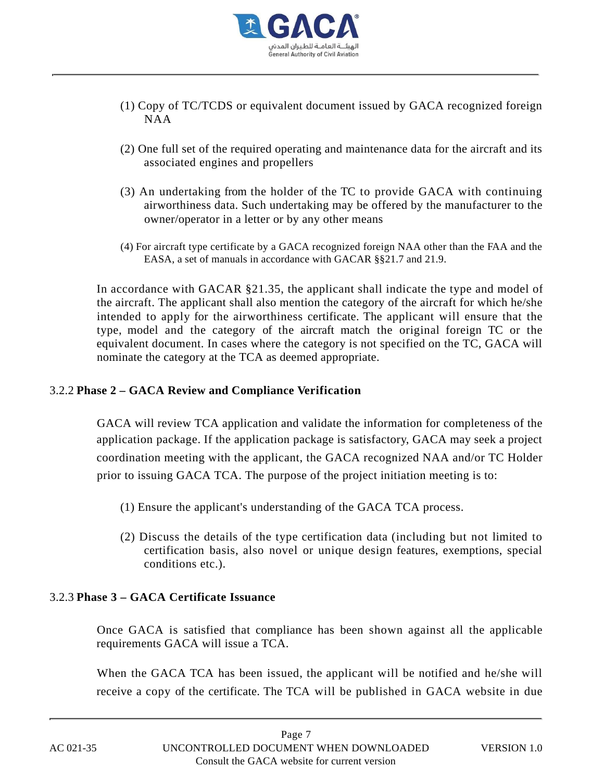

- (1) Copy of TC/TCDS or equivalent document issued by GACA recognized foreign NAA
- (2) One full set of the required operating and maintenance data for the aircraft and its associated engines and propellers
- (3) An undertaking from the holder of the TC to provide GACA with continuing airworthiness data. Such undertaking may be offered by the manufacturer to the owner/operator in a letter or by any other means
- (4) For aircraft type certificate by a GACA recognized foreign NAA other than the FAA and the EASA, a set of manuals in accordance with GACAR §§21.7 and 21.9.

In accordance with GACAR §21.35, the applicant shall indicate the type and model of the aircraft. The applicant shall also mention the category of the aircraft for which he/she intended to apply for the airworthiness certificate. The applicant will ensure that the type, model and the category of the aircraft match the original foreign TC or the equivalent document. In cases where the category is not specified on the TC, GACA will nominate the category at the TCA as deemed appropriate.

# 3.2.2 **Phase 2 – GACA Review and Compliance Verification**

GACA will review TCA application and validate the information for completeness of the application package. If the application package is satisfactory, GACA may seek a project coordination meeting with the applicant, the GACA recognized NAA and/or TC Holder prior to issuing GACA TCA. The purpose of the project initiation meeting is to:

- (1) Ensure the applicant's understanding of the GACA TCA process.
- (2) Discuss the details of the type certification data (including but not limited to certification basis, also novel or unique design features, exemptions, special conditions etc.).

# 3.2.3 **Phase 3 – GACA Certificate Issuance**

Once GACA is satisfied that compliance has been shown against all the applicable requirements GACA will issue a TCA.

When the GACA TCA has been issued, the applicant will be notified and he/she will receive a copy of the certificate. The TCA will be published in GACA website in due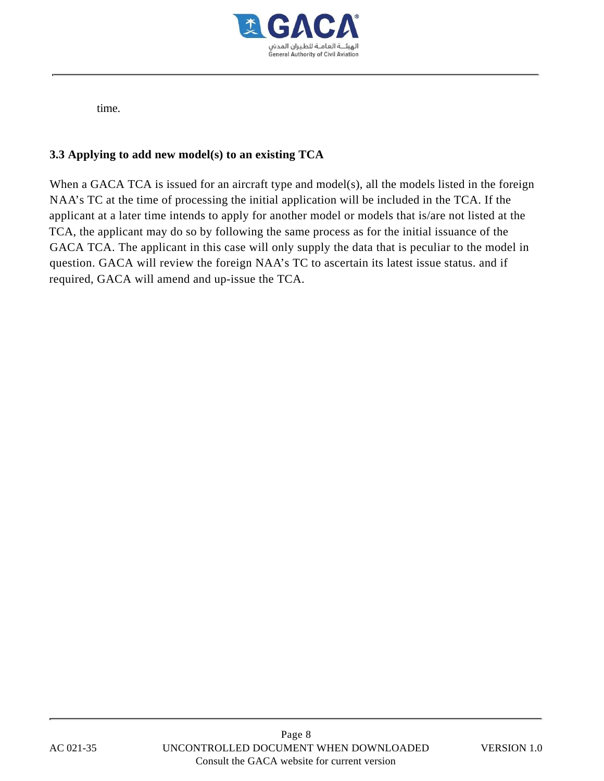

time.

# **3.3 Applying to add new model(s) to an existing TCA**

When a GACA TCA is issued for an aircraft type and model(s), all the models listed in the foreign NAA's TC at the time of processing the initial application will be included in the TCA. If the applicant at a later time intends to apply for another model or models that is/are not listed at the TCA, the applicant may do so by following the same process as for the initial issuance of the GACA TCA. The applicant in this case will only supply the data that is peculiar to the model in question. GACA will review the foreign NAA's TC to ascertain its latest issue status. and if required, GACA will amend and up-issue the TCA.